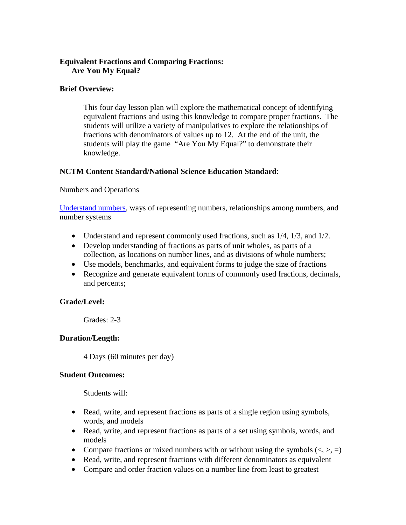#### **Equivalent Fractions and Comparing Fractions: Are You My Equal?**

#### **Brief Overview:**

This four day lesson plan will explore the mathematical concept of identifying equivalent fractions and using this knowledge to compare proper fractions. The students will utilize a variety of manipulatives to explore the relationships of fractions with denominators of values up to 12. At the end of the unit, the students will play the game "Are You My Equal?" to demonstrate their knowledge.

#### **NCTM Content Standard/National Science Education Standard**:

#### Numbers and Operations

Understand numbers, ways of representing numbers, relationships among numbers, and number systems

- Understand and represent commonly used fractions, such as  $1/4$ ,  $1/3$ , and  $1/2$ .
- Develop understanding of fractions as parts of unit wholes, as parts of a collection, as locations on number lines, and as divisions of whole numbers;
- Use models, benchmarks, and equivalent forms to judge the size of fractions
- Recognize and generate equivalent forms of commonly used fractions, decimals, and percents;

#### **Grade/Level:**

Grades: 2-3

#### **Duration/Length:**

4 Days (60 minutes per day)

#### **Student Outcomes:**

Students will:

- Read, write, and represent fractions as parts of a single region using symbols, words, and models
- Read, write, and represent fractions as parts of a set using symbols, words, and models
- Compare fractions or mixed numbers with or without using the symbols  $(<, >, =)$
- Read, write, and represent fractions with different denominators as equivalent
- Compare and order fraction values on a number line from least to greatest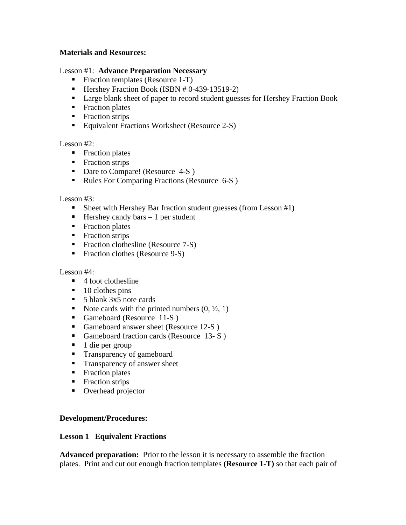#### **Materials and Resources:**

#### Lesson #1: **Advance Preparation Necessary**

- **Fraction templates (Resource 1-T)**
- -Hershey Fraction Book (ISBN # 0-439-13519-2)
- **EXECT** Large blank sheet of paper to record student guesses for Hershey Fraction Book
- **Fraction plates**
- **Fraction strips**
- **Equivalent Fractions Worksheet (Resource 2-S)**

 $\frac{1}{2}$  esson #2:

- **Fraction plates**
- **Fraction strips**
- **Dare to Compare! (Resource 4-S)**
- -Rules For Comparing Fractions (Resource 6-S )

Lesson #3:

- **Sheet with Hershey Bar fraction student guesses (from Lesson #1)**
- Hershey candy bars 1 per student
- **Fraction plates**
- **Fraction strips**
- **Fraction clothesline (Resource 7-S)**
- **Fraction clothes (Resource 9-S)**

Lesson #4:

- **4** foot clothesline
- 10 clothes pins
- 5 blank 3x5 note cards
- $\blacksquare$  Note cards with the printed numbers  $(0, \frac{1}{2}, 1)$
- **Gameboard (Resource 11-S)**
- -Gameboard answer sheet (Resource 12-S )
- **Gameboard fraction cards (Resource 13-S)**
- -1 die per group
- **Transparency of gameboard**
- **Transparency of answer sheet**
- **Fraction plates**
- **Fraction strips**
- **Diverhead projector**

#### **Development/Procedures:**

#### **Lesson 1 Equivalent Fractions**

**Advanced preparation:** Prior to the lesson it is necessary to assemble the fraction plates. Print and cut out enough fraction templates **(Resource 1-T)** so that each pair of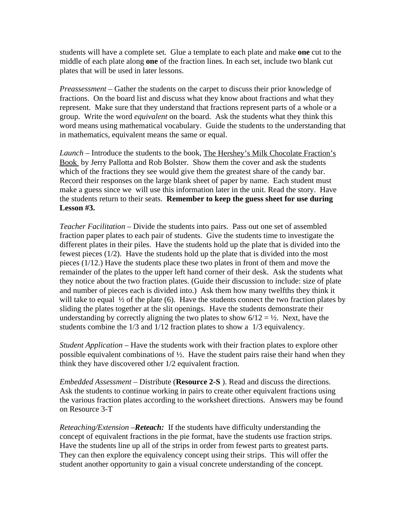students will have a complete set. Glue a template to each plate and make **one** cut to the middle of each plate along **one** of the fraction lines. In each set, include two blank cut plates that will be used in later lessons.

*Preassessment* – Gather the students on the carpet to discuss their prior knowledge of fractions. On the board list and discuss what they know about fractions and what they represent. Make sure that they understand that fractions represent parts of a whole or a group. Write the word *equivalent* on the board. Ask the students what they think this word means using mathematical vocabulary. Guide the students to the understanding that in mathematics, equivalent means the same or equal.

*Launch –* Introduce the students to the book, The Hershey's Milk Chocolate Fraction's Book by Jerry Pallotta and Rob Bolster. Show them the cover and ask the students which of the fractions they see would give them the greatest share of the candy bar. Record their responses on the large blank sheet of paper by name. Each student must make a guess since we will use this information later in the unit. Read the story. Have the students return to their seats. **Remember to keep the guess sheet for use during Lesson #3.** 

*Teacher Facilitation –* Divide the students into pairs. Pass out one set of assembled fraction paper plates to each pair of students. Give the students time to investigate the different plates in their piles. Have the students hold up the plate that is divided into the fewest pieces (1/2). Have the students hold up the plate that is divided into the most pieces (1/12.) Have the students place these two plates in front of them and move the remainder of the plates to the upper left hand corner of their desk. Ask the students what they notice about the two fraction plates. (Guide their discussion to include: size of plate and number of pieces each is divided into.) Ask them how many twelfths they think it will take to equal  $\frac{1}{2}$  of the plate (6). Have the students connect the two fraction plates by sliding the plates together at the slit openings. Have the students demonstrate their understanding by correctly aligning the two plates to show  $6/12 = \frac{1}{2}$ . Next, have the students combine the 1/3 and 1/12 fraction plates to show a 1/3 equivalency.

*Student Application –* Have the students work with their fraction plates to explore other possible equivalent combinations of ½. Have the student pairs raise their hand when they think they have discovered other 1/2 equivalent fraction.

*Embedded Assessment –* Distribute (**Resource 2-S** ). Read and discuss the directions. Ask the students to continue working in pairs to create other equivalent fractions using the various fraction plates according to the worksheet directions. Answers may be found on Resource 3-T

*Reteaching/Extension –Reteach:* If the students have difficulty understanding the concept of equivalent fractions in the pie format, have the students use fraction strips. Have the students line up all of the strips in order from fewest parts to greatest parts. They can then explore the equivalency concept using their strips. This will offer the student another opportunity to gain a visual concrete understanding of the concept.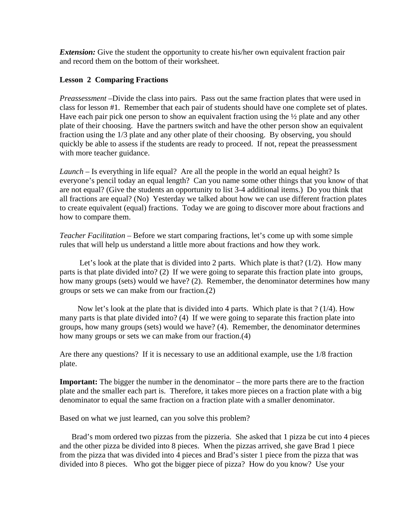*Extension:* Give the student the opportunity to create his/her own equivalent fraction pair and record them on the bottom of their worksheet.

#### **Lesson 2 Comparing Fractions**

*Preassessment –*Divide the class into pairs. Pass out the same fraction plates that were used in class for lesson #1. Remember that each pair of students should have one complete set of plates. Have each pair pick one person to show an equivalent fraction using the  $\frac{1}{2}$  plate and any other plate of their choosing. Have the partners switch and have the other person show an equivalent fraction using the 1/3 plate and any other plate of their choosing. By observing, you should quickly be able to assess if the students are ready to proceed. If not, repeat the preassessment with more teacher guidance.

*Launch* – Is everything in life equal? Are all the people in the world an equal height? Is everyone's pencil today an equal length? Can you name some other things that you know of that are not equal? (Give the students an opportunity to list 3-4 additional items.) Do you think that all fractions are equal? (No) Yesterday we talked about how we can use different fraction plates to create equivalent (equal) fractions. Today we are going to discover more about fractions and how to compare them.

*Teacher Facilitation* – Before we start comparing fractions, let's come up with some simple rules that will help us understand a little more about fractions and how they work.

 Let's look at the plate that is divided into 2 parts. Which plate is that? (1/2). How many parts is that plate divided into? (2) If we were going to separate this fraction plate into groups, how many groups (sets) would we have? (2). Remember, the denominator determines how many groups or sets we can make from our fraction.(2)

 Now let's look at the plate that is divided into 4 parts. Which plate is that ? (1/4). How many parts is that plate divided into? (4) If we were going to separate this fraction plate into groups, how many groups (sets) would we have? (4). Remember, the denominator determines how many groups or sets we can make from our fraction.(4)

Are there any questions? If it is necessary to use an additional example, use the 1/8 fraction plate.

**Important:** The bigger the number in the denominator – the more parts there are to the fraction plate and the smaller each part is. Therefore, it takes more pieces on a fraction plate with a big denominator to equal the same fraction on a fraction plate with a smaller denominator.

Based on what we just learned, can you solve this problem?

 Brad's mom ordered two pizzas from the pizzeria. She asked that 1 pizza be cut into 4 pieces and the other pizza be divided into 8 pieces. When the pizzas arrived, she gave Brad 1 piece from the pizza that was divided into 4 pieces and Brad's sister 1 piece from the pizza that was divided into 8 pieces. Who got the bigger piece of pizza? How do you know? Use your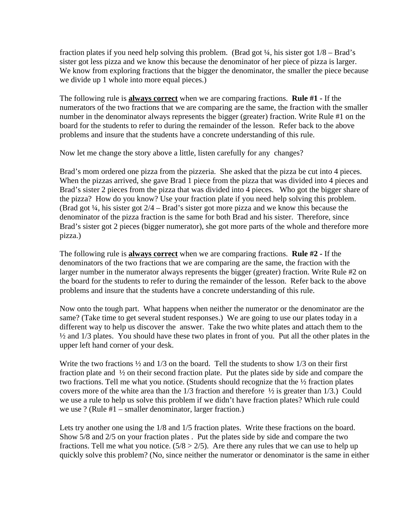fraction plates if you need help solving this problem. (Brad got ¼, his sister got 1/8 – Brad's sister got less pizza and we know this because the denominator of her piece of pizza is larger. We know from exploring fractions that the bigger the denominator, the smaller the piece because we divide up 1 whole into more equal pieces.)

The following rule is **always correct** when we are comparing fractions. **Rule #1 -** If the numerators of the two fractions that we are comparing are the same, the fraction with the smaller number in the denominator always represents the bigger (greater) fraction. Write Rule #1 on t he board for the students to refer to during the remainder of the lesson. Refer back to the above roblems and insure that the students have a concrete understanding of this rule. p

Now let me change the story above a little, listen carefully for any changes?

Brad's sister 2 pieces from the pizza that was divided into 4 pieces. Who got the bigger share of . the pizza? How do you know? Use your fraction plate if you need help solving this problem Brad's sister got 2 pieces (bigger numerator), she got more parts of the whole and therefore more pizza.) Brad's mom ordered one pizza from the pizzeria. She asked that the pizza be cut into 4 pieces. When the pizzas arrived, she gave Brad 1 piece from the pizza that was divided into 4 pieces and (Brad got ¼, his sister got 2/4 – Brad's sister got more pizza and we know this because the denominator of the pizza fraction is the same for both Brad and his sister. Therefore, since

The following rule is **always correct** when we are comparing fractions. **Rule #2 -** If the denominators of the two fractions that we are comparing are the same, the fraction with the larger number in the numerator always represents the bigger (greater) fraction. Write Rule #2 on the board for the students to refer to during the remainder of the lesson. Refer back to the above roblems and insure that the students have a concrete understanding of this rule. p

Now onto the tough part. What happens when neither the numerator or the denominator are the % and 1/3 plates. You should have these two plates in front of you. Put all the other plates in the upper left hand corner of your desk. same? (Take time to get several student responses.) We are going to use our plates today in a different way to help us discover the answer. Take the two white plates and attach them to the

fraction plate and  $\frac{1}{2}$  on their second fraction plate. Put the plates side by side and compare the we use a rule to help us solve this problem if we didn't have fraction plates? Which rule could we use ? (Rule #1 – smaller denominator, larger fraction.) Write the two fractions ½ and 1/3 on the board. Tell the students to show 1/3 on their first two fractions. Tell me what you notice. (Students should recognize that the ½ fraction plates covers more of the white area than the 1/3 fraction and therefore ½ is greater than 1/3.) Could

Lets try another one using the 1/8 and 1/5 fraction plates. Write these fractions on the board. Show 5/8 and 2/5 on your fraction plates . Put the plates side by side and compare the two fractions. Tell me what you notice. (5/8 > 2/5). Are there any rules that we can use to help up quickly solve this problem? (No, since neither the numerator or denominator is the same in either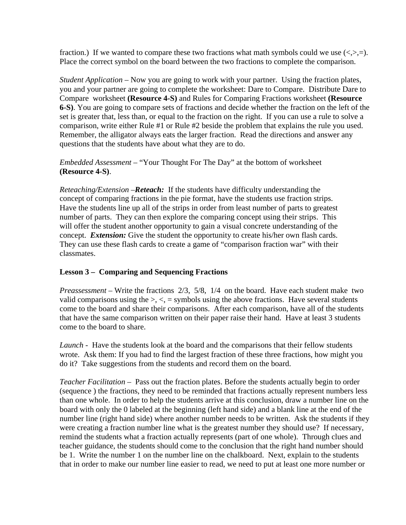fraction.) If we wanted to compare these two fractions what math symbols could we use  $\langle \langle \rangle, \rangle =$ . Place the correct symbol on the board between the two fractions to complete the comparison.

*Student Application* – Now you are going to work with your partner. Using the fraction plates, you and your partner are going to complete the worksheet: Dare to Compare. Distribute Dare to Compare worksheet **(Resource 4-S)** and Rules for Comparing Fractions worksheet **(Resource 6-S)**. You are going to compare sets of fractions and decide whether the fraction on the left of the set is greater that, less than, or equal to the fraction on the r ight. If you can use a rule to solve a omparison, write either Rule #1 or Rule #2 beside the problem that explains the rule you used. c Remember, the alligator always eats the larger fraction. Read the directions and answer any questions that the students have about what they are to do.

*Embedded Assessment* – "Your Thought For The Day" at the bottom of worksheet **(Resource 4-S)**.

will offer the student another opportunity to gain a visual concrete understanding of the concept. *Extension:* Give the student the opportunity to create his/her own flash cards. They can use these flash cards to create a game of "comparison fraction war" with their lassmates. c *Reteaching/Extension –Reteach:* If the students have difficulty understanding the concept of comparing fractions in the pie format, have the students use fraction strips. Have the students line up all of the strips in order from least number of parts to greatest number of parts. They can then explore the comparing concept using their strips. This

#### **Lesson 3 – Comparing and Sequencing Fractions**

valid comparisons using the  $>$ ,  $\lt$ , = symbols using the above fractions. Have several students come to the board and share their comparisons. After each comparison, have all of the students that have the same comparison written on their paper raise their hand. Have at least 3 students *Preassessment –* Write the fractions 2/3, 5/8, 1/4 on the board. Have each student make two come to the board to share.

Launch - Have the students look at the board and the comparisons that their fellow students wrote. Ask them: If you had to find the largest fraction of these three fractions, how might you do it? Take suggestions from the students and record them on the board.

that in order to make our number line easier to read, we need to put at least one more number or *Teacher Facilitation* – Pass out the fraction plates. Before the students actually begin to order (sequence ) the fractions, they need to be reminded that fractions actually represent numbers less than one whole. In order to help the students arrive at this conclusion, draw a number line on the board with only the 0 labeled at the beginning (left hand side) and a blank line at the end of the number line (right hand side) where another number needs to be written. Ask the students if they were creating a fraction number line what is the greatest number they should use? If necessary, remind the students what a fraction actually represents (part of one whole). Through clues and teacher guidance, the students should come to the conclusion that the right hand number should be 1. Write the number 1 on the number line on the chalkboard. Next, explain to the students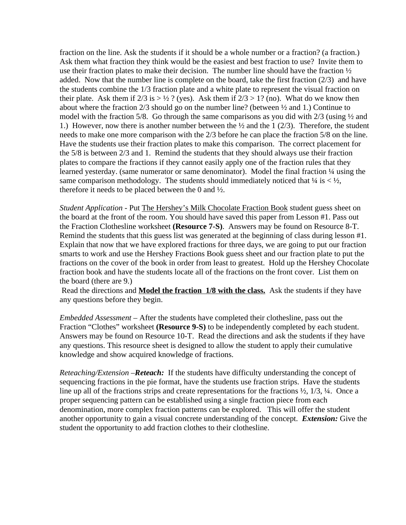fraction on the line. Ask the students if it should be a whole number or a fraction? (a fraction.) Ask them what fraction they think would be the easiest and best fraction to use? Invite them to use their fraction plates to make their decision. The number line should have the fraction  $\frac{1}{2}$ added. Now that the number line is complete on the board, take the first fraction (2/3) and have the students combine the 1/3 fraction plate and a white plate to represent the visual fraction on their plate. Ask them if  $2/3$  is  $>$  ½ ? (yes). Ask them if  $2/3$   $>$  1? (no). What do we know then about where the fraction 2/3 should go on the number line? (between ½ and 1.) Continue to model with the fraction 5/8. Go through the same comparisons as you did with 2/3 (using ½ and 1.) However, now there is another number between the ½ and the 1 (2/3). Therefore, the stu dent needs to make one more comparison with the 2/3 before he can place the fraction 5/8 on the line. Have the students use their fraction plates to make this comparison. The correct placemen t for the 5/8 is between 2/3 and 1. Remind the students that they should always use their fraction plates to compare the fractions if they cannot easily apply one of the fraction rules that they learned yesterday. (same numerator or same denominator). Model the final fraction ¼ using the same comparison methodology. The students should immediately noticed that  $\frac{1}{4}$  is <  $\frac{1}{2}$ , therefore it needs to be placed between the 0 and ½.

*Student Application* - Put The Hershey's Milk Chocolate Fraction Book student guess sheet on the board at the front of the room. You should have saved this paper from Lesson #1. Pass out the Fraction Clothesline worksheet **(Resource 7-S)**. Answers may be found on Resource 8-T. Remind the students that this guess list was generated at the beginning of class during lesson #1 . Explain that now that we have explored fractions for three days, we are going to put our fraction fractions on the cover of the book in order from least to greatest. Hold up the Hershey Chocolate fraction book and have the students locate all of the fractions on the front cover. List them on smarts to work and use the Hershey Fractions Book guess sheet and our fraction plate to put the the board (there are 9.)

 Read the directions and **Model the fraction 1/8 with the class.** Ask the students if they have any questions before they begin.

*Embedded Assessment* – After the students have completed their clothesline, pass out the Fraction "Clothes" worksheet (Resource 9-S) to be independently completed by each student. Answers may be found on Resource 10-T. Read the directions and ask the students if they have any questions. This resource sheet is designed to allow the student to apply their cumulative knowledge and show acquired knowledge of fractions.

line up all of the fractions strips and create representations for the fractions  $\frac{1}{2}$ , 1/3,  $\frac{1}{3}$ ,  $\frac{1}{3}$ . roper sequencing pattern can be established using a single fraction piece from each p denomination, more complex fraction patterns can be explored. This will offer the student another opportunity to gain a visual concrete understanding of the concept. *Extension:* Give the student the opportunity to add fraction clothes to their clothesline. *Reteaching/Extension –Reteach:* If the students have difficulty understanding the concept of sequencing fractions in the pie format, have the students use fraction strips. Have the students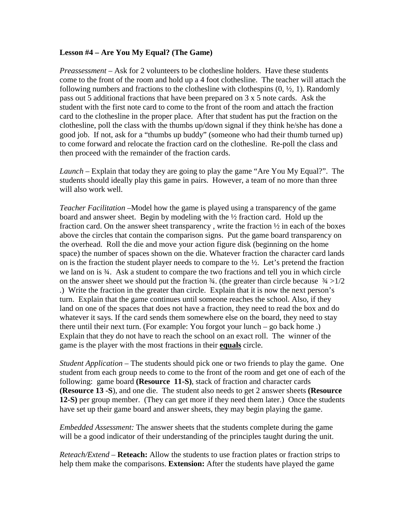#### **Lesson #4 – Are You My Equal? (The Game)**

*Preassessment –* Ask for 2 volunteers to be clothesline holders. Have these students come to the front of the room and hold up a 4 foot clothesline. The teacher will attach the following numbers and fractions to the clothesline with clothespins  $(0, \frac{1}{2}, 1)$ . Randomly pass out 5 additional fractions that have been prepared on 3 x 5 note cards. Ask the student with the first note card to come to the front of the room and attach the fraction card to the clothesline in the proper place. After that student has put the fraction on the to come forward and relocate the fraction card on the clothesline. Re-poll the class and then proceed with the remainder of the fraction cards. clothesline, poll the class with the thumbs up/down signal if they think he/she has done a good job. If not, ask for a "thumbs up buddy" (someone who had their thumb turned up)

Launch – Explain that today they are going to play the game "Are You My Equal?". The students should ideally play this game in pairs. However, a team of no more than three will also work well.

on the answer sheet we should put the fraction  $\frac{3}{4}$ . (the greater than circle because  $\frac{3}{4}$  >1/2 turn. Explain that the game continues until someone reaches the school. Also, if they land on one of the spaces that does not have a fraction, they need to read the box and do Explain that they do not have to reach the school on an exact roll. The winner of the *Teacher Facilitation* –Model how the game is played using a transparency of the game board and answer sheet. Begin by modeling with the ½ fraction card. Hold up the fraction card. On the answer sheet transparency , write the fraction ½ in each of the boxes above the circles that contain the comparison signs. Put the game board transparency on the overhead. Roll the die and move your action figure disk (beginning on the home space) the number of spaces shown on the die. Whatever fraction the character card lands on is the fraction the student player needs to compare to the ½. Let's pretend the fraction we land on is ¾. Ask a student to compare the two fractions and tell you in which circle .) Write the fraction in the greater than circle. Explain that it is now the next person's whatever it says. If the card sends them somewhere else on the board, they need to stay there until their next turn. (For example: You forgot your lunch – go back home .) game is the player with the most fractions in their **equals** circle.

*Student Application* – The students should pick one or two friends to play the game. One student from each group needs to come to the front of the room and get one of each of the **e (Resource 13 -S**), and one die. The student also needs to get 2 answer sheets **(Resourc 2-S)** per group member. (They can get more if they need them later.) Once the students **1** following: game board **(Resource 11-S)**, stack of fraction and character cards have set up their game board and answer sheets, they may begin playing the game.

will be a good indicator of their understanding of the principles taught during the unit. *Embedded Assessment:* The answer sheets that the students complete during the game

*Reteach/Extend –* **Reteach:** Allow the students to use fraction plates or fraction strips to help them make the comparisons. **Extension:** After the students have played the game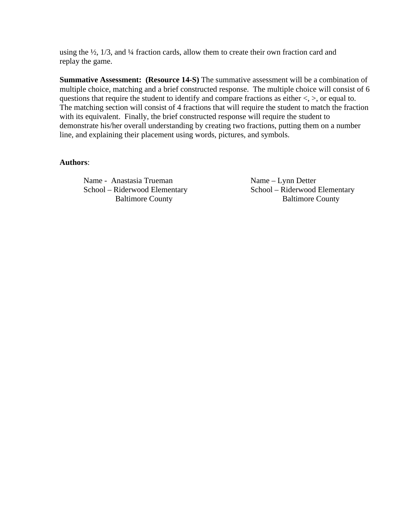using the  $\frac{1}{2}$ ,  $\frac{1}{3}$ , and  $\frac{1}{4}$  fraction cards, allow them to create their own fraction card and replay the game.

**Summative Assessment: (Resource 14-S)** The summative assessment will be a combination o f multiple choice, matching and a brief constructed response. The multiple choice will consist of 6 questions that require the student to identify and compare fractions as either  $\lt$ ,  $>$ , or equal to. The matching section will consist of 4 fractions that will require the student to match the fraction with its equivalent. Finally, the brief constructed response will require the student to demonstrate his/her overall understanding by creating two fractions, putting them on a number line, and explaining their placement using words, pictures, and symbols.

#### **Authors**:

Name - Anastasia Trueman<br>
School – Riderwood Elementary<br>
School – Riderwood Elementary<br>
School – Riderwood Elementary School – Riderwood Elementary

Baltimore County **Baltimore County**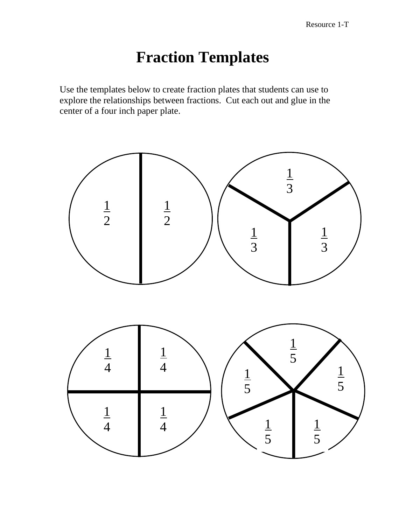# **Fraction Templates**

Use the templates below to create fraction plates that students can use to explore the relationships between fractions. Cut each out and glue in the center of a four inch paper plate.

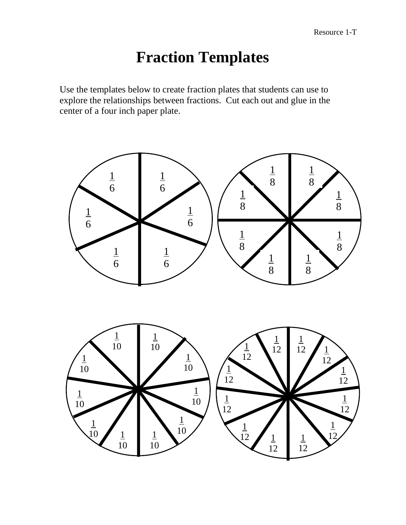# **Fraction Templates**

Use the templates below to create fraction plates that students can use to explore the relationships between fractions. Cut each out and glue in the center of a four inch paper plate.

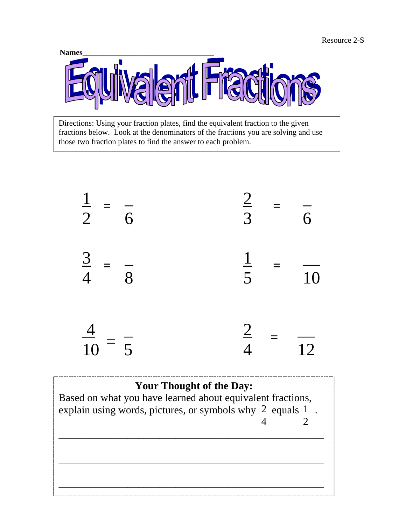

Directions: Using your fraction plates, find the equivalent fraction to the given fractions below. Look at the denominators of the fractions you are solving and use those two fraction plates to find the answer to each problem.



## **Your Thought of the Day:**

Based on what you have learned about equivalent fractions, explain using words, pictures, or symbols why  $\geq$  equals  $\frac{1}{2}$ . 2 4

\_\_\_\_\_\_\_\_\_\_\_\_\_\_\_\_\_\_\_\_\_\_\_\_\_\_\_\_\_\_\_\_\_\_\_\_\_\_\_\_\_\_\_\_\_\_\_\_\_\_

\_\_\_\_\_\_\_\_\_\_\_\_\_\_\_\_\_\_\_\_\_\_\_\_\_\_\_\_\_\_\_\_\_\_\_\_\_\_\_\_\_\_\_\_\_\_\_\_\_\_

\_\_\_\_\_\_\_\_\_\_\_\_\_\_\_\_\_\_\_\_\_\_\_\_\_\_\_\_\_\_\_\_\_\_\_\_\_\_\_\_\_\_\_\_\_\_\_\_\_\_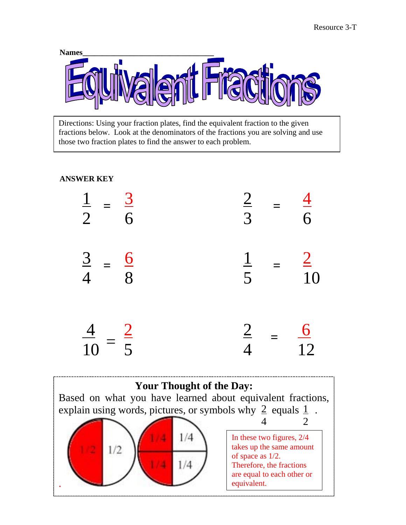

Directions: Using your fraction plates, find the equivalent fraction to the given fractions below. Look at the denominators of the fractions you are solving and use those two fraction plates to find the answer to each problem.

#### **ANSWER KEY**



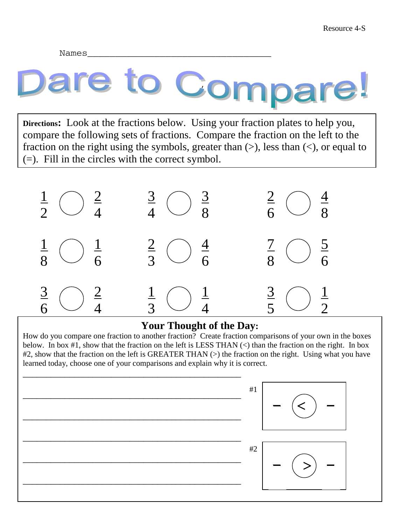Names\_\_\_\_\_\_\_\_\_\_\_\_\_\_\_\_\_\_\_\_\_\_\_\_\_\_\_\_\_\_\_\_\_

# Cor

**Directions:** Look at the fractions below. Using your fraction plates to help you, compare the following sets of fractions. Compare the fraction on the left to the fraction on the right using the symbols, greater than  $(>)$ , less than  $(>)$ , or equal to (=). Fill in the circles with the correct symbol.



#### **Your Thought of the Day:**

How do you compare one fraction to another fraction? Create fraction comparisons of your own in the boxes below. In box #1, show that the fraction on the left is LESS THAN (<) than the fraction on the right. In box #2, show that the fraction on the left is GREATER THAN (>) the fraction on the right. Using what you have learned today, choose one of your comparisons and explain why it is correct.

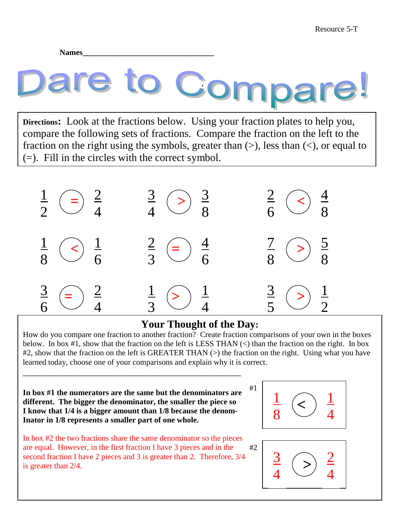**Names\_\_\_\_\_\_\_\_\_\_\_\_\_\_\_\_\_\_\_\_\_\_\_\_\_\_\_\_\_\_\_\_\_** 

# Cor

**Directions:** Look at the fractions below. Using your fraction plates to help you, compare the following sets of fractions. Compare the fraction on the left to the fraction on the right using the symbols, greater than  $(>)$ , less than  $(>)$ , or equal to (=). Fill in the circles with the correct symbol.



### **Your Thought of the Day:**

How do you compare one fraction to another fraction? Create fraction comparisons of your own in the boxes below. In box #1, show that the fraction on the left is LESS THAN  $(\le)$  than the fraction on the right. In box #2, show that the fraction on the left is GREATER THAN (>) the fraction on the right. Using what you have learned today, choose one of your comparisons and explain why it is correct.

**In box #1 the numerators are the same but the denominators are different. The bigger the denominator, the smaller the piece so I know that 1/4 is a bigger amount than 1/8 because the denom-Inator in 1/8 represents a smaller part of one whole.** 

\_\_\_\_\_\_\_\_\_\_\_\_\_\_\_\_\_\_\_\_\_\_\_\_\_\_\_\_\_\_\_\_\_\_\_\_\_\_\_\_\_\_\_\_\_\_\_





#1

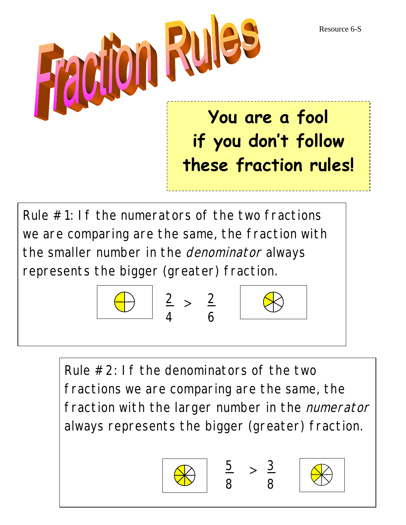Resource 6-S



represents the bigger (greater) fraction.







Rule  $#2$ : If the denominators of the two fractions we are comparing are the same, the fraction with the larger number in the *numerator* always represents the bigger (greater) fraction.





8

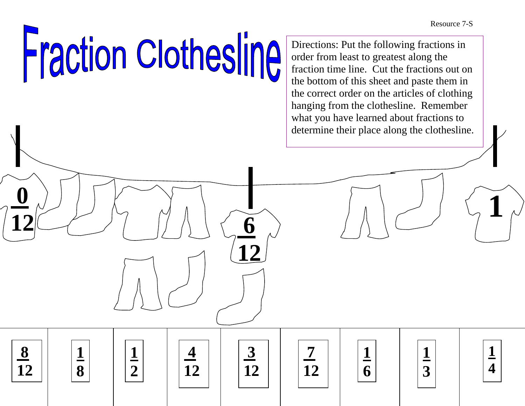Resource 7-S

# **Fraction Clothesline**

**1**

**1**

**8**

 **4**

**12**

**2**

 **8**

**12**

 $\frac{1}{12}$  (1)  $\frac{1}{12}$  (1)  $\frac{1}{12}$  (1)  $\frac{1}{12}$  (1)  $\frac{1}{12}$  (1)  $\frac{1}{12}$ 

**12**

 **3**

**12**

 **7**

**1**

**1**

**1**

**4** 

**3**

**6**

**12**

Directions: Put the following fractions in order from least to greatest along the fraction time line. Cut the fractions out on the bottom of this sheet and paste them in the correct order on the articles of clothing hanging from the clothesline. Remember what you have learned about fractions to determine their place along the clothesline.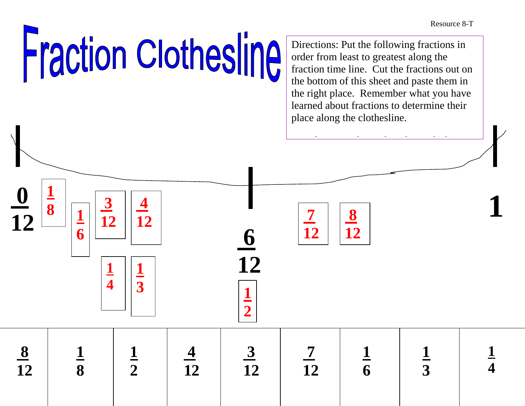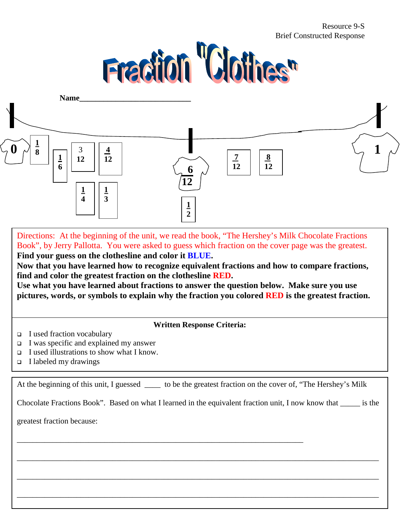#### Resource 9-S Brief Constructed Response





Directions: At the beginning of the unit, we read the book, "The Hershey's Milk Chocolate Fractions Book", by Jerry Pallotta. You were asked to guess which fraction on the cover page was the greatest. **Find your guess on the clothesline and color it BLUE.** 

**Now that you have learned how to recognize equivalent fractions and how to compare fractions, find and color the greatest fraction on the clothesline RED.** 

**Use what you have learned about fractions to answer the question below. Make sure you use pictures, words, or symbols to explain why the fraction you colored RED is the greatest fraction.**

**Written Response Criteria:** 

- □ I used fraction vocabulary
- □ I was specific and explained my answer
- □ I used illustrations to show what I know.
- I labeled my drawings

At the beginning of this unit, I guessed \_\_\_\_\_ to be the greatest fraction on the cover of, "The Hershey's Milk

\_\_\_\_\_\_\_\_\_\_\_\_\_\_\_\_\_\_\_\_\_\_\_\_\_\_\_\_\_\_\_\_\_\_\_\_\_\_\_\_\_\_\_\_\_\_\_\_\_\_\_\_\_\_\_\_\_\_\_\_\_\_\_\_\_\_\_\_\_\_\_\_

Chocolate Fractions Book". Based on what I learned in the equivalent fraction unit, I now know that \_\_\_\_\_ is the

\_\_\_\_\_\_\_\_\_\_\_\_\_\_\_\_\_\_\_\_\_\_\_\_\_\_\_\_\_\_\_\_\_\_\_\_\_\_\_\_\_\_\_\_\_\_\_\_\_\_\_\_\_\_\_\_\_\_\_\_\_\_\_\_\_\_\_\_\_\_\_\_\_\_\_\_\_\_\_\_\_\_\_\_\_\_\_\_\_\_\_

\_\_\_\_\_\_\_\_\_\_\_\_\_\_\_\_\_\_\_\_\_\_\_\_\_\_\_\_\_\_\_\_\_\_\_\_\_\_\_\_\_\_\_\_\_\_\_\_\_\_\_\_\_\_\_\_\_\_\_\_\_\_\_\_\_\_\_\_\_\_\_\_\_\_\_\_\_\_\_\_\_\_\_\_\_\_\_\_\_\_\_

\_\_\_\_\_\_\_\_\_\_\_\_\_\_\_\_\_\_\_\_\_\_\_\_\_\_\_\_\_\_\_\_\_\_\_\_\_\_\_\_\_\_\_\_\_\_\_\_\_\_\_\_\_\_\_\_\_\_\_\_\_\_\_\_\_\_\_\_\_\_\_\_\_\_\_\_\_\_\_\_\_\_\_\_\_\_\_\_\_\_\_

greatest fraction because: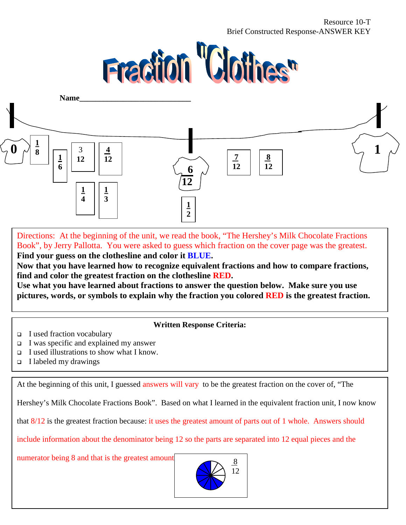#### Resource 10-T Brief Constructed Response-ANSWER KEY





Directions: At the beginning of the unit, we read the book, "The Hershey's Milk Chocolate Fractions Book", by Jerry Pallotta. You were asked to guess which fraction on the cover page was the greatest. **Find your guess on the clothesline and color it BLUE.** 

**Now that you have learned how to recognize equivalent fractions and how to compare fractions, find and color the greatest fraction on the clothesline RED.** 

**Use what you have learned about fractions to answer the question below. Make sure you use pictures, words, or symbols to explain why the fraction you colored RED is the greatest fraction.**

#### **Written Response Criteria:**

- □ I used fraction vocabulary
- □ I was specific and explained my answer
- □ I used illustrations to show what I know.
- I labeled my drawings

At the beginning of this unit, I guessed answers will vary to be the greatest fraction on the cover of, "The

Hershey's Milk Chocolate Fractions Book". Based on what I learned in the equivalent fraction unit, I now know

that 8/12 is the greatest fraction because: it uses the greatest amount of parts out of 1 whole. Answers should

include information about the denominator being 12 so the parts are separated into 12 equal pieces and the

numerator being 8 and that is the greatest amount  $\begin{array}{c} 8 \end{array}$ 

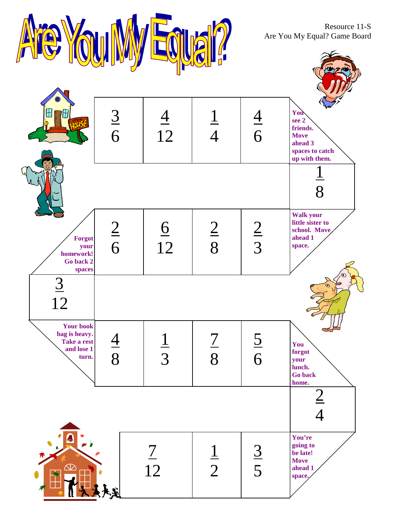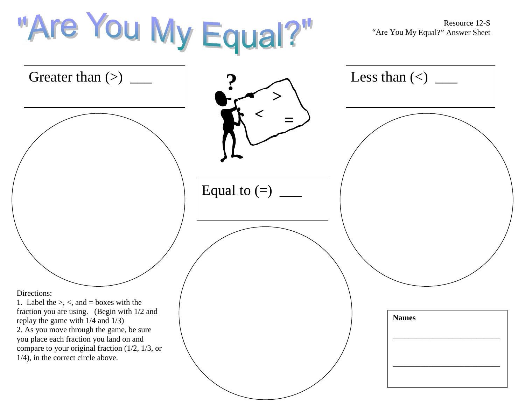| "Are You My Equal?"                                                                                                                                                                                                                                                        |                | Resource 12-S<br>"Are You My Equal?" Answer Sheet |
|----------------------------------------------------------------------------------------------------------------------------------------------------------------------------------------------------------------------------------------------------------------------------|----------------|---------------------------------------------------|
| Greater than $(>)$                                                                                                                                                                                                                                                         |                | Less than $(\le)$                                 |
|                                                                                                                                                                                                                                                                            |                |                                                   |
|                                                                                                                                                                                                                                                                            | Equal to $(=)$ |                                                   |
| Directions:<br>1. Label the $\geq$ , $\lt$ , and = boxes with the                                                                                                                                                                                                          |                |                                                   |
| fraction you are using. (Begin with 1/2 and<br>replay the game with $1/4$ and $1/3$ )<br>2. As you move through the game, be sure<br>you place each fraction you land on and<br>compare to your original fraction $(1/2, 1/3,$ or<br>$1/4$ ), in the correct circle above. |                | <b>Names</b>                                      |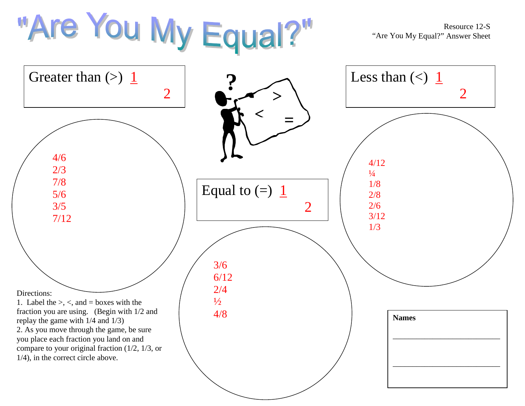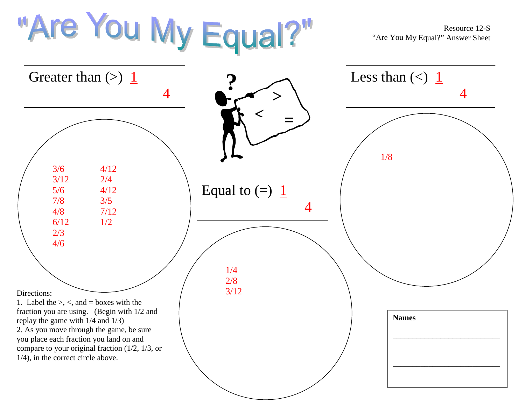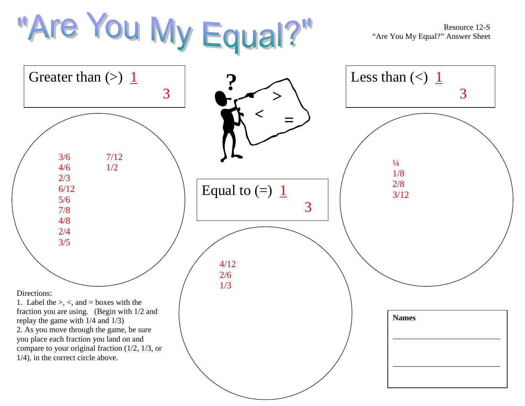

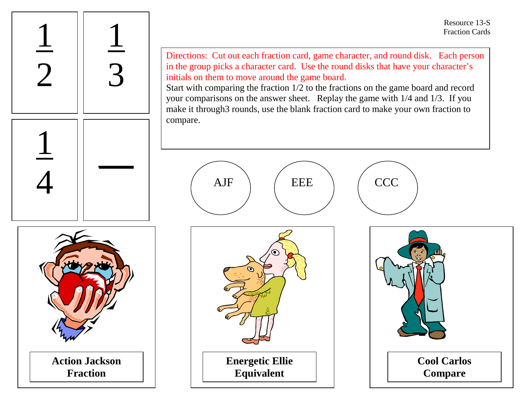Resource 13-SFraction Cards

Directions: Cut out each fraction card, game character, and round disk. Each person in the group picks a character card. Use the round disks that have your character's initials on them to move around the game board.

Start with comparing the fraction 1/2 to the fractions on the game board and record your comparisons on the answer sheet. Replay the game with 1/4 and 1/3. If you make it through3 rounds, use the blank fraction card to make your own fraction to compare.







**Fraction**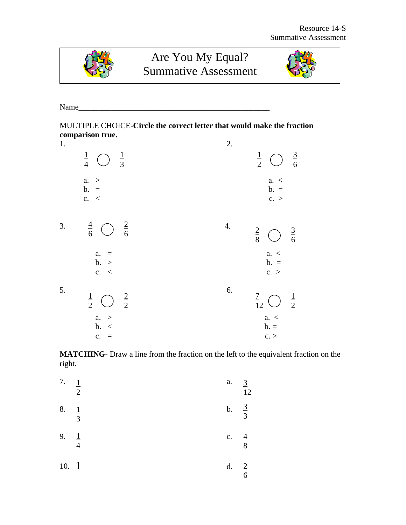

# Are You My Equal? Summative Assessment



Name\_\_\_\_\_\_\_\_\_\_\_\_\_\_\_\_\_\_\_\_\_\_\_\_\_\_\_\_\_\_\_\_\_\_\_\_\_\_\_\_\_\_\_\_\_\_\_\_

MULTIPLE CHOICE-**Circle the correct letter that would make the fraction comparison true.** 

| 1. |                                                                             | 2. |                                                                          |
|----|-----------------------------------------------------------------------------|----|--------------------------------------------------------------------------|
|    | $\frac{1}{4}$<br>$\frac{1}{3}$                                              |    | $\frac{3}{6}$<br>$\frac{1}{2}$<br>$\begin{pmatrix} 1 \\ 2 \end{pmatrix}$ |
|    | a. ><br>$b. =$<br>c. <                                                      |    | a. <<br>$b. =$<br>c. >                                                   |
| 3. | $\frac{4}{6}$<br>$\frac{2}{6}$<br>$\bigcirc$                                | 4. | $rac{2}{8}$<br>$\frac{3}{6}$<br>$\bigcup$                                |
|    | $a. =$<br>b. ><br>c. <                                                      |    | a. <<br>$b. =$<br>c. >                                                   |
| 5. | $rac{2}{2}$<br>$\frac{1}{2}$<br>$\left(\begin{array}{c} \end{array}\right)$ | 6. | $\frac{7}{12}$<br>$\frac{1}{2}$<br>$\bigcup$                             |
|    | a. ><br>b. <<br>$c. =$                                                      |    | a. <<br>$b =$<br>c.                                                      |

**MATCHING**- Draw a line from the fraction on the left to the equivalent fraction on the right.

| 7.   | $\perp$<br>2              | a.            | $\overline{3}$<br>12             |
|------|---------------------------|---------------|----------------------------------|
| 8.   | $\perp$<br>$\overline{3}$ | $\mathbf b$ . | $rac{3}{3}$                      |
| 9.   | $\perp$<br>$\overline{4}$ | c.            | $\overline{4}$<br>$\overline{8}$ |
| 10.1 |                           | d.            | $\frac{2}{3}$<br>$\overline{6}$  |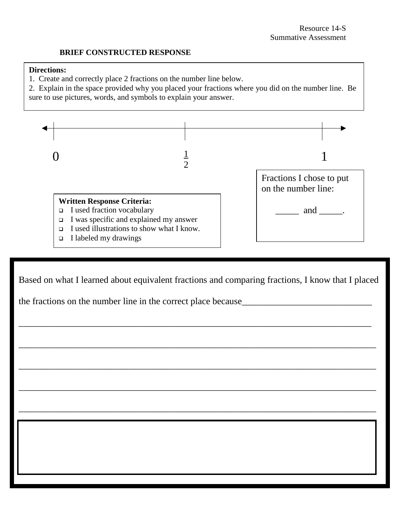\_\_\_\_\_\_\_\_\_\_\_\_\_\_\_\_\_\_\_\_\_\_\_\_\_\_\_\_\_\_\_\_\_\_\_\_\_\_\_\_\_\_\_\_\_\_\_\_\_\_\_\_\_\_\_\_\_\_\_\_\_\_\_\_\_\_\_\_\_\_\_\_\_\_\_\_\_

 $\frac{1}{2}$  ,  $\frac{1}{2}$  ,  $\frac{1}{2}$  ,  $\frac{1}{2}$  ,  $\frac{1}{2}$  ,  $\frac{1}{2}$  ,  $\frac{1}{2}$  ,  $\frac{1}{2}$  ,  $\frac{1}{2}$  ,  $\frac{1}{2}$  ,  $\frac{1}{2}$  ,  $\frac{1}{2}$  ,  $\frac{1}{2}$  ,  $\frac{1}{2}$  ,  $\frac{1}{2}$  ,  $\frac{1}{2}$  ,  $\frac{1}{2}$  ,  $\frac{1}{2}$  ,  $\frac{1$ 

#### **BRIEF CONSTRUCTED RESPONSE**

#### **Directions:**

- 1. Create and correctly place 2 fractions on the number line below.
- 2. Explain in the space provided why you placed your fractions where you did on the number line. Be





Based on what I learned about equivalent fractions and comparing fractions, I know that I placed

\_\_\_\_\_\_\_\_\_\_\_\_\_\_\_\_\_\_\_\_\_\_\_\_\_\_\_\_\_\_\_\_\_\_\_\_\_\_\_\_\_\_\_\_\_\_\_\_\_\_\_\_\_\_\_\_\_\_\_\_\_\_\_\_\_\_\_\_\_\_\_\_\_\_\_\_

\_\_\_\_\_\_\_\_\_\_\_\_\_\_\_\_\_\_\_\_\_\_\_\_\_\_\_\_\_\_\_\_\_\_\_\_\_\_\_\_\_\_\_\_\_\_\_\_\_\_\_\_\_\_\_\_\_\_\_\_\_\_\_\_\_\_\_\_\_\_\_\_\_\_\_\_\_

\_\_\_\_\_\_\_\_\_\_\_\_\_\_\_\_\_\_\_\_\_\_\_\_\_\_\_\_\_\_\_\_\_\_\_\_\_\_\_\_\_\_\_\_\_\_\_\_\_\_\_\_\_\_\_\_\_\_\_\_\_\_\_\_\_\_\_\_\_\_\_\_\_\_\_\_\_

the fractions on the number line in the correct place because\_\_\_\_\_\_\_\_\_\_\_\_\_\_\_\_\_\_\_\_\_\_\_\_\_\_\_\_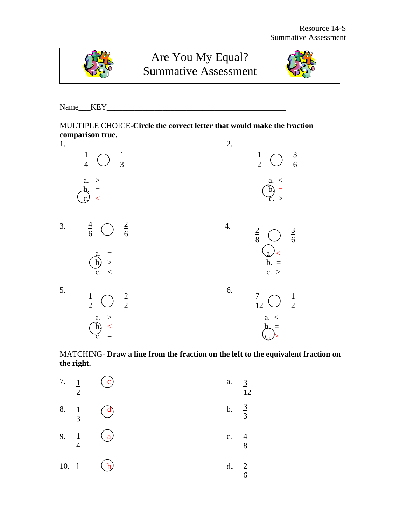

# Are You My Equal? Summative Assessment



Name\_\_\_KEY\_\_\_\_\_\_\_\_\_\_\_\_\_\_\_\_\_\_\_\_\_\_\_\_\_\_\_\_\_\_\_\_\_\_\_\_\_\_\_\_\_\_\_\_\_

MULTIPLE CHOICE**-Circle the correct letter that would make the fraction comparison true.** 

| 1. |                                                                               | 2.                                                                                     |
|----|-------------------------------------------------------------------------------|----------------------------------------------------------------------------------------|
|    | $\frac{1}{4}$<br>$\frac{1}{3}$                                                | $\frac{3}{6}$<br>$\frac{1}{2}$<br>$\begin{pmatrix} 1 \\ 2 \end{pmatrix}$               |
|    | a. ><br>$b_2 =$<br>$c$<br>$\mathcal{L}$                                       | $\begin{array}{c} a. < \\ b. \end{array}$<br>$\begin{array}{c} c. > \\ c. \end{array}$ |
| 3. | $\frac{4}{6}$<br>$\frac{2}{6}$<br>$\left(\begin{array}{c} \end{array}\right)$ | 4.<br>$rac{2}{8}$<br>$\frac{3}{6}$<br>$\bigcirc$                                       |
|    | $\begin{array}{c} \n\text{a.} \\ \hline\n\text{b.}\n\end{array}$ ><br>c. <    | $\begin{array}{c}\n\text{a} \\ \text{b.} \\ \text{c.} \n\end{array}$                   |
| 5. | $rac{2}{2}$<br>$\frac{1}{2}$<br>$\left(\begin{array}{c} \end{array}\right)$   | 6.<br>$\frac{7}{12}$<br>$\frac{1}{2}$<br>、 )                                           |
|    | $\begin{array}{c} a. > \\ b. \end{array}$<br>ć.                               | a. <                                                                                   |

MATCHING- **Draw a line from the fraction on the left to the equivalent fraction on the right.** 

| 7. $\frac{1}{2}$ | $\mathbf{c})$  | a.               | $\frac{3}{2}$<br>12 |
|------------------|----------------|------------------|---------------------|
| 8. $\frac{1}{3}$ | $\binom{d}{ }$ | b. $\frac{3}{3}$ |                     |
| 9. $\frac{1}{4}$ | $\binom{a}{b}$ | c. $\frac{4}{8}$ |                     |
| 10. 1            | $\mathbf{b}$   | d.               | $rac{2}{6}$         |